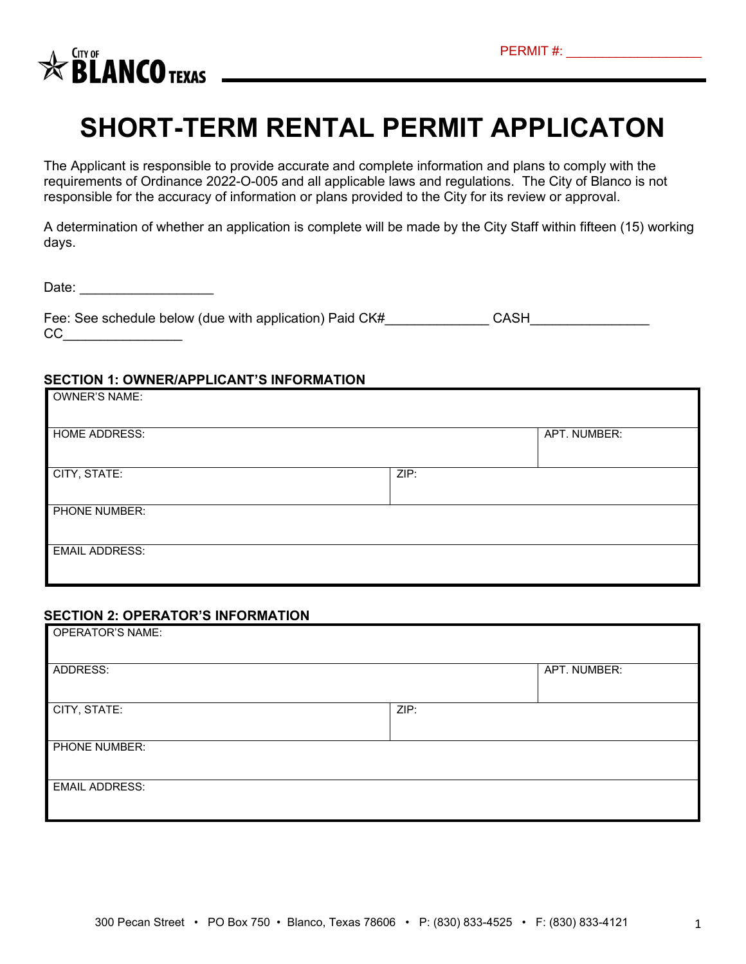

# **SHORT-TERM RENTAL PERMIT APPLICATON**

The Applicant is responsible to provide accurate and complete information and plans to comply with the requirements of Ordinance 2022-O-005 and all applicable laws and regulations. The City of Blanco is not responsible for the accuracy of information or plans provided to the City for its review or approval.

A determination of whether an application is complete will be made by the City Staff within fifteen (15) working days.

Date:  $\Box$ 

| Fee: See schedule below (due with application) Paid CK# | CASH |
|---------------------------------------------------------|------|
| СC                                                      |      |

#### **SECTION 1: OWNER/APPLICANT'S INFORMATION**

| <b>OWNER'S NAME:</b>  |      |              |
|-----------------------|------|--------------|
| <b>HOME ADDRESS:</b>  |      | APT. NUMBER: |
| CITY, STATE:          | ZIP: |              |
| PHONE NUMBER:         |      |              |
| <b>EMAIL ADDRESS:</b> |      |              |

### **SECTION 2: OPERATOR'S INFORMATION**

| <b>OPERATOR'S NAME:</b> |      |              |
|-------------------------|------|--------------|
| ADDRESS:                |      | APT. NUMBER: |
| CITY, STATE:            | ZIP: |              |
| PHONE NUMBER:           |      |              |
| <b>EMAIL ADDRESS:</b>   |      |              |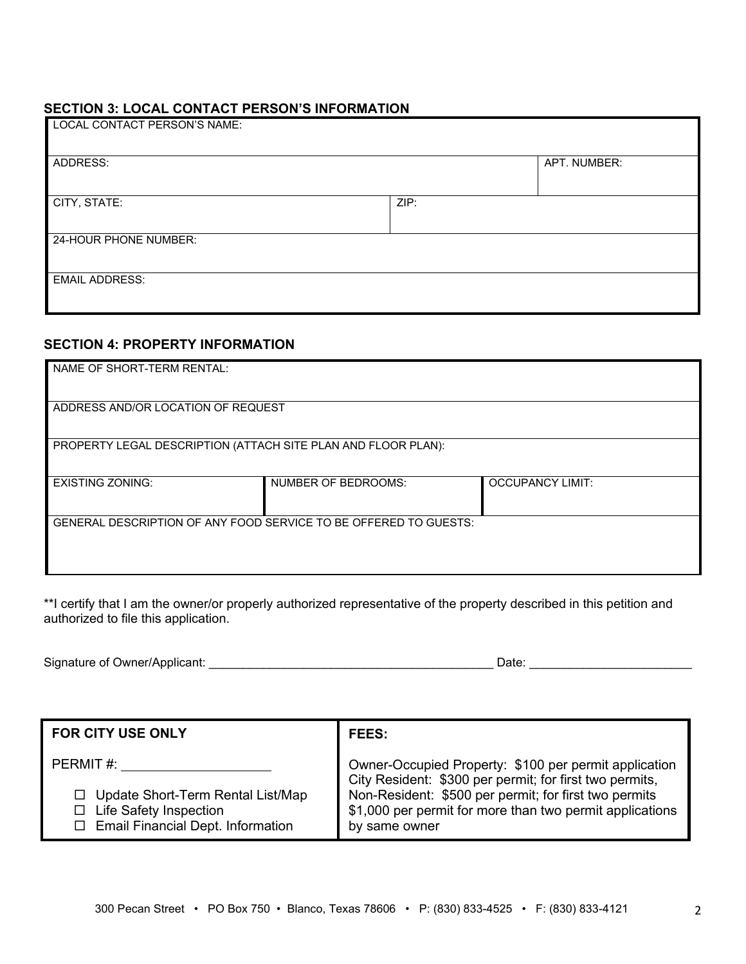## **SECTION 3: LOCAL CONTACT PERSON'S INFORMATION**

| LOCAL CONTACT PERSON'S NAME: |      |              |
|------------------------------|------|--------------|
| ADDRESS:                     |      | APT. NUMBER: |
| CITY, STATE:                 | ZIP: |              |
| 24-HOUR PHONE NUMBER:        |      |              |
| <b>EMAIL ADDRESS:</b>        |      |              |

## **SECTION 4: PROPERTY INFORMATION**

| NAME OF SHORT-TERM RENTAL:                                       |                            |                         |  |
|------------------------------------------------------------------|----------------------------|-------------------------|--|
| ADDRESS AND/OR LOCATION OF REQUEST                               |                            |                         |  |
| PROPERTY LEGAL DESCRIPTION (ATTACH SITE PLAN AND FLOOR PLAN):    |                            |                         |  |
| <b>EXISTING ZONING:</b>                                          | <b>NUMBER OF BEDROOMS:</b> | <b>OCCUPANCY LIMIT:</b> |  |
| GENERAL DESCRIPTION OF ANY FOOD SERVICE TO BE OFFERED TO GUESTS: |                            |                         |  |

\*\*I certify that I am the owner/or properly authorized representative of the property described in this petition and authorized to file this application.

| Signature of Owner/Applicant: | ⊃ate |  |
|-------------------------------|------|--|
|                               |      |  |

| <b>FOR CITY USE ONLY</b>                                                                                                                       | <b>FEES:</b>                                                                                                                                                                                                                                           |
|------------------------------------------------------------------------------------------------------------------------------------------------|--------------------------------------------------------------------------------------------------------------------------------------------------------------------------------------------------------------------------------------------------------|
| PERMIT#:<br>Update Short-Term Rental List/Map<br>$\Box$<br><b>Life Safety Inspection</b><br>$\Box$<br>$\Box$ Email Financial Dept. Information | Owner-Occupied Property: \$100 per permit application<br>City Resident: \$300 per permit; for first two permits,<br>Non-Resident: \$500 per permit; for first two permits<br>\$1,000 per permit for more than two permit applications<br>by same owner |